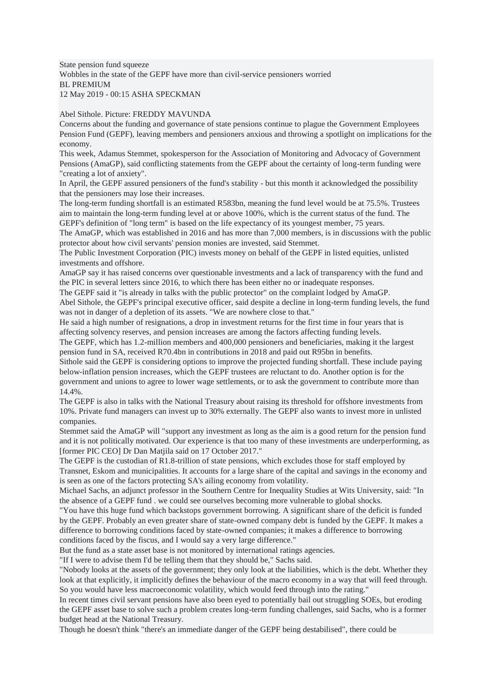State pension fund squeeze Wobbles in the state of the GEPF have more than civil-service pensioners worried BL PREMIUM 12 May 2019 - 00:15 ASHA SPECKMAN

Abel Sithole. Picture: FREDDY MAVUNDA

Concerns about the funding and governance of state pensions continue to plague the Government Employees Pension Fund (GEPF), leaving members and pensioners anxious and throwing a spotlight on implications for the economy.

This week, Adamus Stemmet, spokesperson for the Association of Monitoring and Advocacy of Government Pensions (AmaGP), said conflicting statements from the GEPF about the certainty of long-term funding were "creating a lot of anxiety".

In April, the GEPF assured pensioners of the fund's stability - but this month it acknowledged the possibility that the pensioners may lose their increases.

The long-term funding shortfall is an estimated R583bn, meaning the fund level would be at 75.5%. Trustees aim to maintain the long-term funding level at or above 100%, which is the current status of the fund. The GEPF's definition of "long term" is based on the life expectancy of its youngest member, 75 years.

The AmaGP, which was established in 2016 and has more than 7,000 members, is in discussions with the public protector about how civil servants' pension monies are invested, said Stemmet.

The Public Investment Corporation (PIC) invests money on behalf of the GEPF in listed equities, unlisted investments and offshore.

AmaGP say it has raised concerns over questionable investments and a lack of transparency with the fund and the PIC in several letters since 2016, to which there has been either no or inadequate responses.

The GEPF said it "is already in talks with the public protector" on the complaint lodged by AmaGP.

Abel Sithole, the GEPF's principal executive officer, said despite a decline in long-term funding levels, the fund was not in danger of a depletion of its assets. "We are nowhere close to that."

He said a high number of resignations, a drop in investment returns for the first time in four years that is affecting solvency reserves, and pension increases are among the factors affecting funding levels.

The GEPF, which has 1.2-million members and 400,000 pensioners and beneficiaries, making it the largest pension fund in SA, received R70.4bn in contributions in 2018 and paid out R95bn in benefits.

Sithole said the GEPF is considering options to improve the projected funding shortfall. These include paying below-inflation pension increases, which the GEPF trustees are reluctant to do. Another option is for the government and unions to agree to lower wage settlements, or to ask the government to contribute more than 14.4%.

The GEPF is also in talks with the National Treasury about raising its threshold for offshore investments from 10%. Private fund managers can invest up to 30% externally. The GEPF also wants to invest more in unlisted companies.

Stemmet said the AmaGP will "support any investment as long as the aim is a good return for the pension fund and it is not politically motivated. Our experience is that too many of these investments are underperforming, as [former PIC CEO] Dr Dan Matjila said on 17 October 2017."

The GEPF is the custodian of R1.8-trillion of state pensions, which excludes those for staff employed by Transnet, Eskom and municipalities. It accounts for a large share of the capital and savings in the economy and is seen as one of the factors protecting SA's ailing economy from volatility.

Michael Sachs, an adjunct professor in the Southern Centre for Inequality Studies at Wits University, said: "In the absence of a GEPF fund . we could see ourselves becoming more vulnerable to global shocks.

"You have this huge fund which backstops government borrowing. A significant share of the deficit is funded by the GEPF. Probably an even greater share of state-owned company debt is funded by the GEPF. It makes a difference to borrowing conditions faced by state-owned companies; it makes a difference to borrowing conditions faced by the fiscus, and I would say a very large difference."

But the fund as a state asset base is not monitored by international ratings agencies.

"If I were to advise them I'd be telling them that they should be," Sachs said.

"Nobody looks at the assets of the government; they only look at the liabilities, which is the debt. Whether they look at that explicitly, it implicitly defines the behaviour of the macro economy in a way that will feed through. So you would have less macroeconomic volatility, which would feed through into the rating."

In recent times civil servant pensions have also been eyed to potentially bail out struggling SOEs, but eroding the GEPF asset base to solve such a problem creates long-term funding challenges, said Sachs, who is a former budget head at the National Treasury.

Though he doesn't think "there's an immediate danger of the GEPF being destabilised", there could be